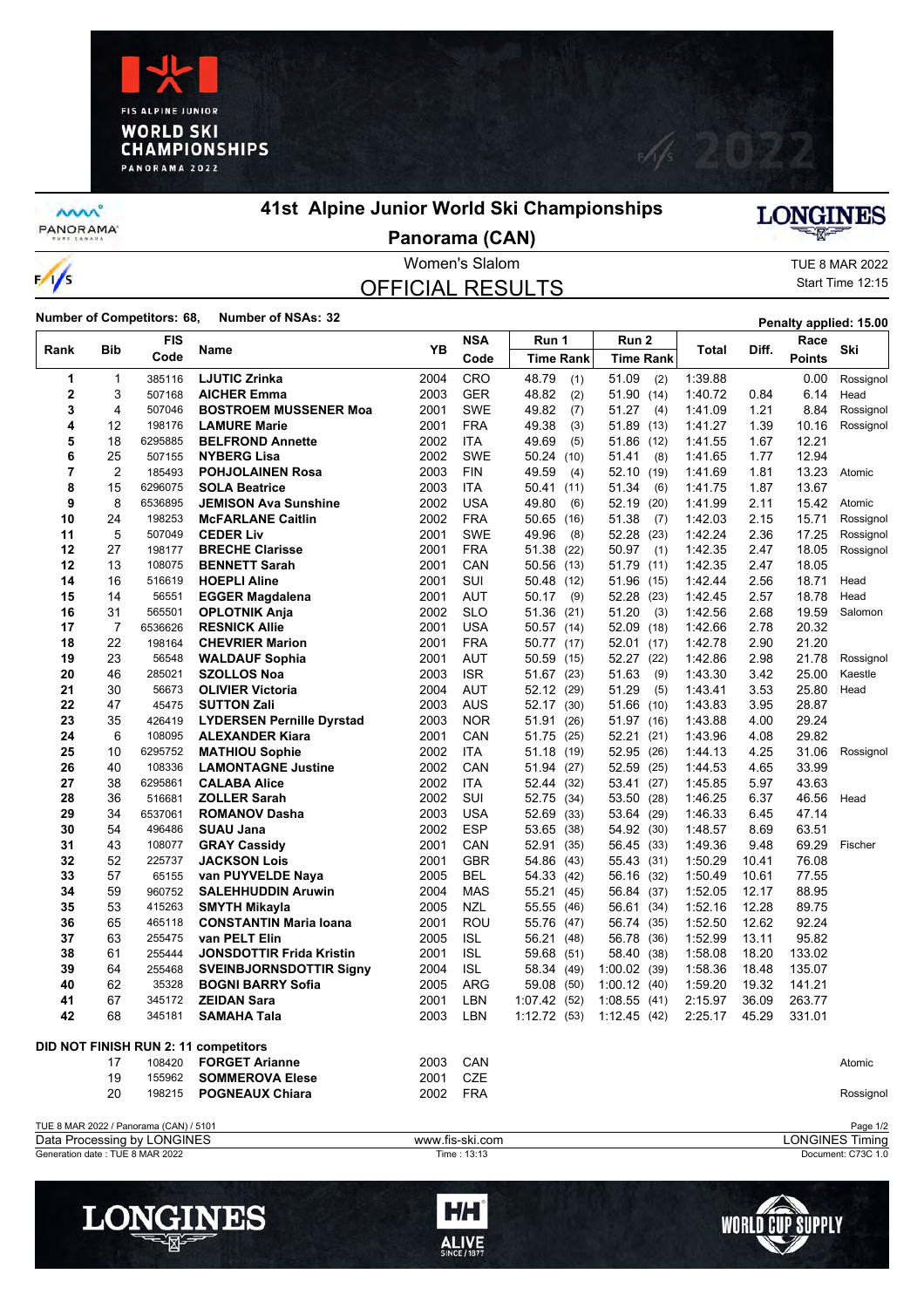



**MW** PANORAMA

 $\frac{1}{s}$ 

## **41st Alpine Junior World Ski Championships**

## LONGINES

**Panorama (CAN)**

## OFFICIAL RESULTS

Women's Slalom TUE 8 MAR 2022 Start Time 12:15

**Number of Competitors: 68, Number of NSAs: 32 Penalty applied: 15.00 Penalty applied: 15.00** 

| Rank         | Bib | <b>FIS</b>                                                            | Name                                 | YB   | <b>NSA</b>      | Run 1                       | Run 2            | Total   | Diff. | Race          | Ski                                |
|--------------|-----|-----------------------------------------------------------------------|--------------------------------------|------|-----------------|-----------------------------|------------------|---------|-------|---------------|------------------------------------|
|              |     | Code                                                                  |                                      |      | Code            | <b>Time Rank</b>            | <b>Time Rank</b> |         |       | <b>Points</b> |                                    |
| 1            | 1   | 385116                                                                | <b>LJUTIC Zrinka</b>                 | 2004 | CRO             | 48.79<br>(1)                | 51.09<br>(2)     | 1:39.88 |       | 0.00          | Rossignol                          |
| $\mathbf{2}$ | 3   | 507168                                                                | <b>AICHER Emma</b>                   | 2003 | <b>GER</b>      | 48.82<br>(2)                | 51.90 (14)       | 1:40.72 | 0.84  | 6.14          | Head                               |
| 3            | 4   | 507046                                                                | <b>BOSTROEM MUSSENER Moa</b>         | 2001 | <b>SWE</b>      | 49.82<br>(7)                | 51.27<br>(4)     | 1:41.09 | 1.21  | 8.84          | Rossignol                          |
| 4            | 12  | 198176                                                                | <b>LAMURE Marie</b>                  | 2001 | <b>FRA</b>      | 49.38<br>(3)                | 51.89<br>(13)    | 1:41.27 | 1.39  | 10.16         | Rossignol                          |
| 5            | 18  | 6295885                                                               | <b>BELFROND Annette</b>              | 2002 | <b>ITA</b>      | 49.69<br>(5)                | 51.86 (12)       | 1:41.55 | 1.67  | 12.21         |                                    |
| 6            | 25  | 507155                                                                | NYBERG Lisa                          | 2002 | <b>SWE</b>      | 50.24<br>(10)               | 51.41<br>(8)     | 1.41.65 | 1.77  | 12.94         |                                    |
| 7            | 2   | 185493                                                                | <b>POHJOLAINEN Rosa</b>              | 2003 | <b>FIN</b>      | 49.59<br>(4)                | 52.10 (19)       | 1:41.69 | 1.81  | 13.23         | Atomic                             |
| 8            | 15  | 6296075                                                               | <b>SOLA Beatrice</b>                 | 2003 | ITA             | 50.41<br>(11)               | 51.34<br>(6)     | 1:41.75 | 1.87  | 13.67         |                                    |
| 9            | 8   | 6536895                                                               | <b>JEMISON Ava Sunshine</b>          | 2002 | <b>USA</b>      | 49.80<br>(6)                | 52.19<br>(20)    | 1.41.99 | 2.11  | 15.42         | Atomic                             |
| 10           | 24  | 198253                                                                | <b>McFARLANE Caitlin</b>             | 2002 | <b>FRA</b>      | 50.65<br>(16)               | 51.38<br>(7)     | 1:42.03 | 2.15  | 15.71         | Rossignol                          |
| 11           | 5   | 507049                                                                | <b>CEDER Liv</b>                     | 2001 | <b>SWE</b>      | 49.96<br>(8)                | 52.28<br>(23)    | 1:42.24 | 2.36  | 17.25         | Rossignol                          |
| 12           | 27  | 198177                                                                | <b>BRECHE Clarisse</b>               | 2001 | <b>FRA</b>      | 51.38<br>(22)               | 50.97<br>(1)     | 1:42.35 | 2.47  | 18.05         | Rossignol                          |
| 12           | 13  | 108075                                                                | <b>BENNETT Sarah</b>                 | 2001 | CAN             | 50.56<br>(13)               | 51.79 (11)       | 1:42.35 | 2.47  | 18.05         |                                    |
| 14           | 16  | 516619                                                                | <b>HOEPLI Aline</b>                  | 2001 | SUI             | 50.48<br>(12)               | 51.96 (15)       | 1:42.44 | 2.56  | 18.71         | Head                               |
| 15           | 14  | 56551                                                                 | <b>EGGER Magdalena</b>               | 2001 | <b>AUT</b>      | 50.17<br>(9)                | 52.28 (23)       | 1:42.45 | 2.57  | 18.78         | Head                               |
| 16           | 31  | 565501                                                                | <b>OPLOTNIK Anja</b>                 | 2002 | <b>SLO</b>      | 51.36<br>(21)               | 51.20<br>(3)     | 1:42.56 | 2.68  | 19.59         | Salomon                            |
| 17           | 7   | 6536626                                                               | <b>RESNICK Allie</b>                 | 2001 | <b>USA</b>      | 50.57<br>(14)               | 52.09 (18)       | 1:42.66 | 2.78  | 20.32         |                                    |
| 18           | 22  | 198164                                                                | <b>CHEVRIER Marion</b>               | 2001 | <b>FRA</b>      | 50.77 (17)                  | 52.01 (17)       | 1:42.78 | 2.90  | 21.20         |                                    |
| 19           | 23  | 56548                                                                 | <b>WALDAUF Sophia</b>                | 2001 | AUT             | 50.59<br>(15)               | 52.27 (22)       | 1:42.86 | 2.98  | 21.78         | Rossignol                          |
| 20           | 46  | 285021                                                                | <b>SZOLLOS Noa</b>                   | 2003 | <b>ISR</b>      | 51.67<br>(23)               | 51.63<br>(9)     | 1.43.30 | 3.42  | 25.00         | Kaestle                            |
| 21           | 30  | 56673                                                                 | <b>OLIVIER Victoria</b>              | 2004 | <b>AUT</b>      | 52.12<br>(29)               | 51.29<br>(5)     | 1:43.41 | 3.53  | 25.80         | Head                               |
| 22           | 47  | 45475                                                                 | <b>SUTTON Zali</b>                   | 2003 | <b>AUS</b>      | 52.17<br>(30)               | 51.66<br>(10)    | 1:43.83 | 3.95  | 28.87         |                                    |
| 23           | 35  | 426419                                                                | <b>LYDERSEN Pernille Dyrstad</b>     | 2003 | <b>NOR</b>      | 51.91<br>(26)               | 51.97 (16)       | 1:43.88 | 4.00  | 29.24         |                                    |
| 24           | 6   | 108095                                                                | <b>ALEXANDER Kiara</b>               | 2001 | CAN             | 51.75<br>(25)               | 52.21 (21)       | 1.43.96 | 4.08  | 29.82         |                                    |
| 25           | 10  | 6295752                                                               | <b>MATHIOU Sophie</b>                | 2002 | <b>ITA</b>      | 51.18<br>(19)               | 52.95 (26)       | 1:44.13 | 4.25  | 31.06         | Rossignol                          |
| 26           | 40  | 108336                                                                | <b>LAMONTAGNE Justine</b>            | 2002 | CAN             | 51.94<br>(27)               | 52.59 (25)       | 1:44.53 | 4.65  | 33.99         |                                    |
| 27           | 38  | 6295861                                                               | <b>CALABA Alice</b>                  | 2002 | <b>ITA</b>      | 52.44<br>(32)               | 53.41 (27)       | 1:45.85 | 5.97  | 43.63         |                                    |
| 28           | 36  | 516681                                                                | <b>ZOLLER Sarah</b>                  | 2002 | SUI             | 52.75<br>(34)               | 53.50 (28)       | 1:46.25 | 6.37  | 46.56         | Head                               |
| 29           | 34  | 6537061                                                               | <b>ROMANOV Dasha</b>                 | 2003 | <b>USA</b>      | 52.69<br>(33)               | 53.64 (29)       | 1:46.33 | 6.45  | 47.14         |                                    |
| 30           | 54  | 496486                                                                | <b>SUAU Jana</b>                     | 2002 | <b>ESP</b>      | 53.65 (38)                  | 54.92 (30)       | 1:48.57 | 8.69  | 63.51         |                                    |
| 31           | 43  | 108077                                                                | <b>GRAY Cassidy</b>                  | 2001 | CAN             | 52.91<br>(35)               | 56.45 (33)       | 1:49.36 | 9.48  | 69.29         | Fischer                            |
| 32           | 52  | 225737                                                                | <b>JACKSON Lois</b>                  | 2001 | <b>GBR</b>      | 54.86<br>(43)               | 55.43 (31)       | 1:50.29 | 10.41 | 76.08         |                                    |
| 33           | 57  | 65155                                                                 | van PUYVELDE Naya                    | 2005 | <b>BEL</b>      | 54.33 (42)                  | 56.16 (32)       | 1:50.49 | 10.61 | 77.55         |                                    |
| 34           | 59  | 960752                                                                | <b>SALEHHUDDIN Aruwin</b>            | 2004 | MAS             | 55.21<br>(45)               | 56.84 (37)       | 1:52.05 | 12.17 | 88.95         |                                    |
| 35           | 53  | 415263                                                                | SMYTH Mikayla                        | 2005 | <b>NZL</b>      | 55.55<br>(46)               | 56.61 (34)       | 1:52.16 | 12.28 | 89.75         |                                    |
| 36           | 65  | 465118                                                                | <b>CONSTANTIN Maria Ioana</b>        | 2001 | <b>ROU</b>      | 55.76 (47)                  | 56.74 (35)       | 1:52.50 | 12.62 | 92.24         |                                    |
| 37           | 63  | 255475                                                                | van PELT Elin                        | 2005 | <b>ISL</b>      | 56.21                       | 56.78 (36)       | 1:52.99 | 13.11 | 95.82         |                                    |
| 38           | 61  | 255444                                                                | <b>JONSDOTTIR Frida Kristin</b>      | 2001 | <b>ISL</b>      | (48)                        | 58.40 (38)       | 1:58.08 | 18.20 | 133.02        |                                    |
| 39           | 64  | 255468                                                                | <b>SVEINBJORNSDOTTIR Signy</b>       | 2004 | <b>ISL</b>      | 59.68<br>(51)<br>58.34 (49) | 1:00.02(39)      | 1:58.36 | 18.48 | 135.07        |                                    |
| 40           | 62  | 35328                                                                 | <b>BOGNI BARRY Sofia</b>             | 2005 | ARG             | 59.08                       | 1:00.12(40)      | 1:59.20 | 19.32 | 141.21        |                                    |
| 41           | 67  | 345172                                                                | <b>ZEIDAN Sara</b>                   | 2001 | LBN             | (50)<br>(52)                | 1:08.55(41)      | 2:15.97 | 36.09 | 263.77        |                                    |
| 42           | 68  | 345181                                                                | <b>SAMAHA Tala</b>                   | 2003 | LBN             | 1:07.42<br>1:12.72(53)      | 1:12.45(42)      | 2:25.17 | 45.29 | 331.01        |                                    |
|              |     |                                                                       |                                      |      |                 |                             |                  |         |       |               |                                    |
|              |     |                                                                       | DID NOT FINISH RUN 2: 11 competitors |      |                 |                             |                  |         |       |               |                                    |
|              | 17  | 108420                                                                | <b>FORGET Arianne</b>                | 2003 | CAN             |                             |                  |         |       |               | Atomic                             |
|              | 19  | 155962                                                                | <b>SOMMEROVA Elese</b>               | 2001 | CZE             |                             |                  |         |       |               |                                    |
|              |     |                                                                       |                                      |      |                 |                             |                  |         |       |               |                                    |
|              | 20  | 198215                                                                | <b>POGNEAUX Chiara</b>               | 2002 | <b>FRA</b>      |                             |                  |         |       |               | Rossignol                          |
|              |     |                                                                       |                                      |      |                 |                             |                  |         |       |               |                                    |
|              |     | TUE 8 MAR 2022 / Panorama (CAN) / 5101<br>Data Processing by LONGINES |                                      |      | www.fis-ski.com |                             |                  |         |       |               | Page 1/2<br><b>LONGINES Timing</b> |
|              |     | Generation date: TUE 8 MAR 2022                                       |                                      |      | Time: 13:13     |                             |                  |         |       |               | Document: C73C 1.0                 |
|              |     |                                                                       |                                      |      |                 |                             |                  |         |       |               |                                    |